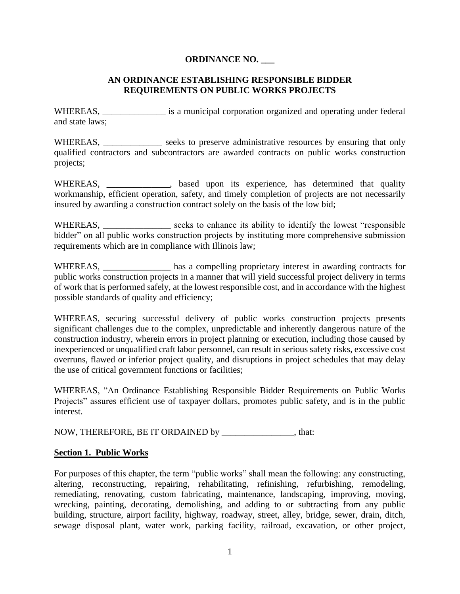# **ORDINANCE NO. \_\_\_**

## **AN ORDINANCE ESTABLISHING RESPONSIBLE BIDDER REQUIREMENTS ON PUBLIC WORKS PROJECTS**

WHEREAS, \_\_\_\_\_\_\_\_\_\_\_\_\_\_\_\_ is a municipal corporation organized and operating under federal and state laws;

WHEREAS, \_\_\_\_\_\_\_\_\_\_\_\_\_\_ seeks to preserve administrative resources by ensuring that only qualified contractors and subcontractors are awarded contracts on public works construction projects;

WHEREAS, \_\_\_\_\_\_\_\_\_\_\_, based upon its experience, has determined that quality workmanship, efficient operation, safety, and timely completion of projects are not necessarily insured by awarding a construction contract solely on the basis of the low bid;

WHEREAS, \_\_\_\_\_\_\_\_\_\_\_\_\_\_\_ seeks to enhance its ability to identify the lowest "responsible bidder" on all public works construction projects by instituting more comprehensive submission requirements which are in compliance with Illinois law;

WHEREAS, has a compelling proprietary interest in awarding contracts for public works construction projects in a manner that will yield successful project delivery in terms of work that is performed safely, at the lowest responsible cost, and in accordance with the highest possible standards of quality and efficiency;

WHEREAS, securing successful delivery of public works construction projects presents significant challenges due to the complex, unpredictable and inherently dangerous nature of the construction industry, wherein errors in project planning or execution, including those caused by inexperienced or unqualified craft labor personnel, can result in serious safety risks, excessive cost overruns, flawed or inferior project quality, and disruptions in project schedules that may delay the use of critical government functions or facilities;

WHEREAS, "An Ordinance Establishing Responsible Bidder Requirements on Public Works Projects" assures efficient use of taxpayer dollars, promotes public safety, and is in the public interest.

NOW, THEREFORE, BE IT ORDAINED by \_\_\_\_\_\_\_\_\_\_\_\_\_\_\_\_, that:

## **Section 1. Public Works**

For purposes of this chapter, the term "public works" shall mean the following: any constructing, altering, reconstructing, repairing, rehabilitating, refinishing, refurbishing, remodeling, remediating, renovating, custom fabricating, maintenance, landscaping, improving, moving, wrecking, painting, decorating, demolishing, and adding to or subtracting from any public building, structure, airport facility, highway, roadway, street, alley, bridge, sewer, drain, ditch, sewage disposal plant, water work, parking facility, railroad, excavation, or other project,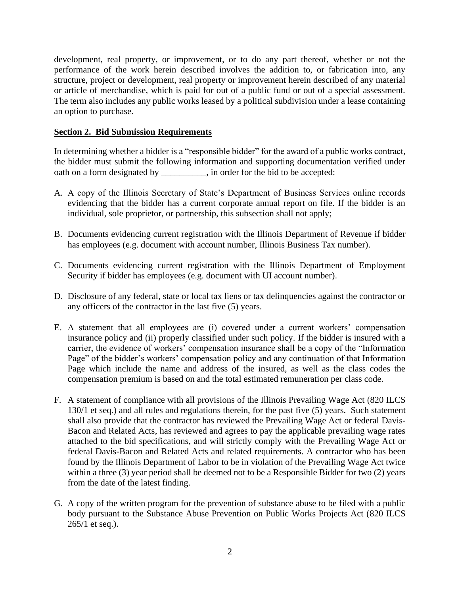development, real property, or improvement, or to do any part thereof, whether or not the performance of the work herein described involves the addition to, or fabrication into, any structure, project or development, real property or improvement herein described of any material or article of merchandise, which is paid for out of a public fund or out of a special assessment. The term also includes any public works leased by a political subdivision under a lease containing an option to purchase.

## **Section 2. Bid Submission Requirements**

In determining whether a bidder is a "responsible bidder" for the award of a public works contract, the bidder must submit the following information and supporting documentation verified under oath on a form designated by \_\_\_\_\_\_\_\_\_\_, in order for the bid to be accepted:

- A. A copy of the Illinois Secretary of State's Department of Business Services online records evidencing that the bidder has a current corporate annual report on file. If the bidder is an individual, sole proprietor, or partnership, this subsection shall not apply;
- B. Documents evidencing current registration with the Illinois Department of Revenue if bidder has employees (e.g. document with account number, Illinois Business Tax number).
- C. Documents evidencing current registration with the Illinois Department of Employment Security if bidder has employees (e.g. document with UI account number).
- D. Disclosure of any federal, state or local tax liens or tax delinquencies against the contractor or any officers of the contractor in the last five (5) years.
- E. A statement that all employees are (i) covered under a current workers' compensation insurance policy and (ii) properly classified under such policy. If the bidder is insured with a carrier, the evidence of workers' compensation insurance shall be a copy of the "Information Page" of the bidder's workers' compensation policy and any continuation of that Information Page which include the name and address of the insured, as well as the class codes the compensation premium is based on and the total estimated remuneration per class code.
- F. A statement of compliance with all provisions of the Illinois Prevailing Wage Act (820 ILCS 130/1 et seq.) and all rules and regulations therein, for the past five (5) years. Such statement shall also provide that the contractor has reviewed the Prevailing Wage Act or federal Davis-Bacon and Related Acts, has reviewed and agrees to pay the applicable prevailing wage rates attached to the bid specifications, and will strictly comply with the Prevailing Wage Act or federal Davis-Bacon and Related Acts and related requirements. A contractor who has been found by the Illinois Department of Labor to be in violation of the Prevailing Wage Act twice within a three (3) year period shall be deemed not to be a Responsible Bidder for two (2) years from the date of the latest finding.
- G. A copy of the written program for the prevention of substance abuse to be filed with a public body pursuant to the Substance Abuse Prevention on Public Works Projects Act (820 ILCS 265/1 et seq.).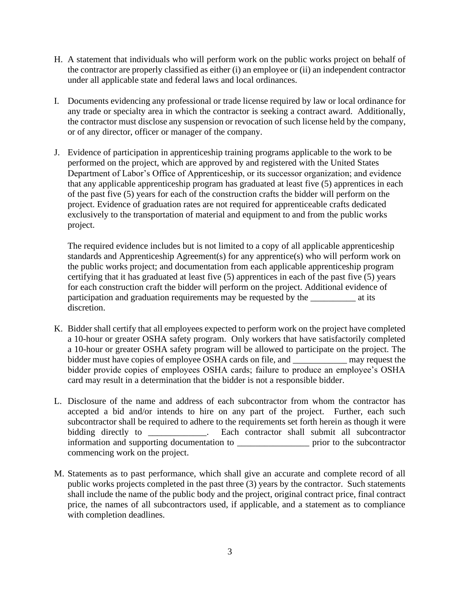- H. A statement that individuals who will perform work on the public works project on behalf of the contractor are properly classified as either (i) an employee or (ii) an independent contractor under all applicable state and federal laws and local ordinances.
- I. Documents evidencing any professional or trade license required by law or local ordinance for any trade or specialty area in which the contractor is seeking a contract award. Additionally, the contractor must disclose any suspension or revocation of such license held by the company, or of any director, officer or manager of the company.
- J. Evidence of participation in apprenticeship training programs applicable to the work to be performed on the project, which are approved by and registered with the United States Department of Labor's Office of Apprenticeship, or its successor organization; and evidence that any applicable apprenticeship program has graduated at least five (5) apprentices in each of the past five (5) years for each of the construction crafts the bidder will perform on the project. Evidence of graduation rates are not required for apprenticeable crafts dedicated exclusively to the transportation of material and equipment to and from the public works project.

The required evidence includes but is not limited to a copy of all applicable apprenticeship standards and Apprenticeship Agreement(s) for any apprentice(s) who will perform work on the public works project; and documentation from each applicable apprenticeship program certifying that it has graduated at least five (5) apprentices in each of the past five (5) years for each construction craft the bidder will perform on the project. Additional evidence of participation and graduation requirements may be requested by the at its discretion.

- K. Bidder shall certify that all employees expected to perform work on the project have completed a 10-hour or greater OSHA safety program. Only workers that have satisfactorily completed a 10-hour or greater OSHA safety program will be allowed to participate on the project. The bidder must have copies of employee OSHA cards on file, and \_\_\_\_\_\_\_\_\_\_\_\_ may request the bidder provide copies of employees OSHA cards; failure to produce an employee's OSHA card may result in a determination that the bidder is not a responsible bidder.
- L. Disclosure of the name and address of each subcontractor from whom the contractor has accepted a bid and/or intends to hire on any part of the project. Further, each such subcontractor shall be required to adhere to the requirements set forth herein as though it were bidding directly to **Each** contractor shall submit all subcontractor information and supporting documentation to **example 1** prior to the subcontractor commencing work on the project.
- M. Statements as to past performance, which shall give an accurate and complete record of all public works projects completed in the past three (3) years by the contractor. Such statements shall include the name of the public body and the project, original contract price, final contract price, the names of all subcontractors used, if applicable, and a statement as to compliance with completion deadlines.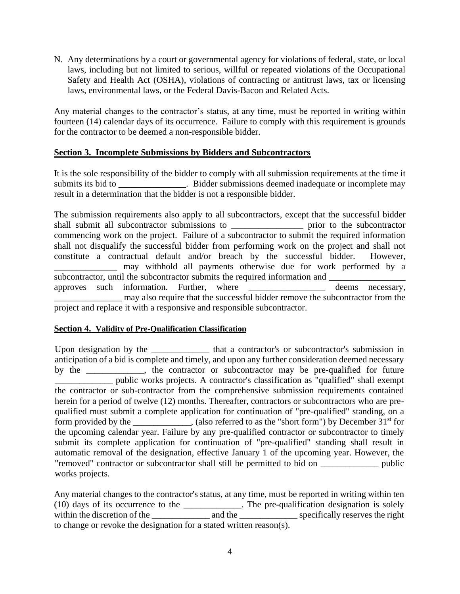N. Any determinations by a court or governmental agency for violations of federal, state, or local laws, including but not limited to serious, willful or repeated violations of the Occupational Safety and Health Act (OSHA), violations of contracting or antitrust laws, tax or licensing laws, environmental laws, or the Federal Davis-Bacon and Related Acts.

Any material changes to the contractor's status, at any time, must be reported in writing within fourteen (14) calendar days of its occurrence. Failure to comply with this requirement is grounds for the contractor to be deemed a non-responsible bidder.

## **Section 3. Incomplete Submissions by Bidders and Subcontractors**

It is the sole responsibility of the bidder to comply with all submission requirements at the time it submits its bid to \_\_\_\_\_\_\_\_\_\_\_\_\_\_\_. Bidder submissions deemed inadequate or incomplete may result in a determination that the bidder is not a responsible bidder.

The submission requirements also apply to all subcontractors, except that the successful bidder shall submit all subcontractor submissions to \_\_\_\_\_\_\_\_\_\_\_\_\_\_\_\_ prior to the subcontractor commencing work on the project. Failure of a subcontractor to submit the required information shall not disqualify the successful bidder from performing work on the project and shall not constitute a contractual default and/or breach by the successful bidder. However, may withhold all payments otherwise due for work performed by a subcontractor, until the subcontractor submits the required information and approves such information. Further, where \_\_\_\_\_\_\_\_\_\_\_\_\_\_\_\_\_ deems necessary, may also require that the successful bidder remove the subcontractor from the project and replace it with a responsive and responsible subcontractor.

## **Section 4. Validity of Pre-Qualification Classification**

Upon designation by the \_\_\_\_\_\_\_\_\_\_\_\_\_\_ that a contractor's or subcontractor's submission in anticipation of a bid is complete and timely, and upon any further consideration deemed necessary by the \_\_\_\_\_\_\_\_\_\_\_\_\_\_, the contractor or subcontractor may be pre-qualified for future \_\_\_\_\_\_\_\_\_\_\_\_\_\_ public works projects. A contractor's classification as "qualified" shall exempt the contractor or sub-contractor from the comprehensive submission requirements contained herein for a period of twelve (12) months. Thereafter, contractors or subcontractors who are prequalified must submit a complete application for continuation of "pre-qualified" standing, on a form provided by the \_\_\_\_\_\_\_\_\_\_, (also referred to as the "short form") by December  $31<sup>st</sup>$  for the upcoming calendar year. Failure by any pre-qualified contractor or subcontractor to timely submit its complete application for continuation of "pre-qualified" standing shall result in automatic removal of the designation, effective January 1 of the upcoming year. However, the "removed" contractor or subcontractor shall still be permitted to bid on \_\_\_\_\_\_\_\_\_\_\_\_\_\_ public works projects.

Any material changes to the contractor's status, at any time, must be reported in writing within ten (10) days of its occurrence to the \_\_\_\_\_\_\_\_\_\_\_\_\_\_. The pre-qualification designation is solely within the discretion of the \_\_\_\_\_\_\_\_\_\_\_\_\_\_ and the \_\_\_\_\_\_\_\_\_\_\_\_\_\_ specifically reserves the right to change or revoke the designation for a stated written reason(s).